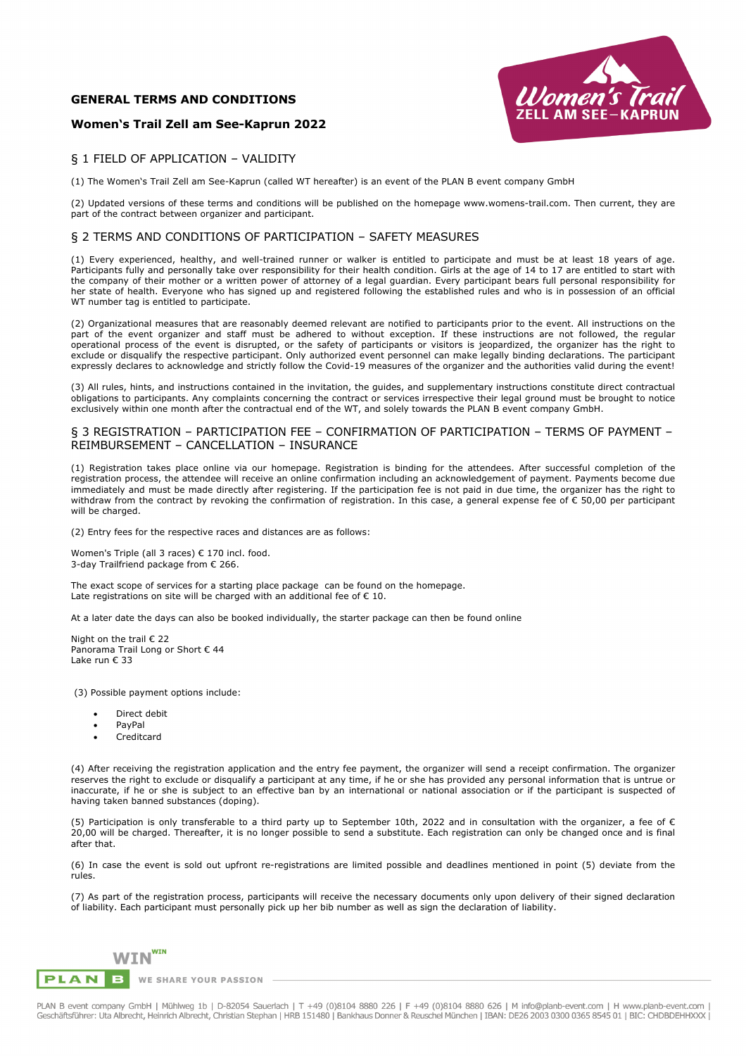## **GENERAL TERMS AND CONDITIONS**

## **Women's Trail Zell am See-Kaprun 2022**



## § 1 FIELD OF APPLICATION – VALIDITY

(1) The Women's Trail Zell am See-Kaprun (called WT hereafter) is an event of the PLAN B event company GmbH

(2) Updated versions of these terms and conditions will be published on the homepage www.womens-trail.com. Then current, they are part of the contract between organizer and participant.

### § 2 TERMS AND CONDITIONS OF PARTICIPATION – SAFETY MEASURES

(1) Every experienced, healthy, and well-trained runner or walker is entitled to participate and must be at least 18 years of age. Participants fully and personally take over responsibility for their health condition. Girls at the age of 14 to 17 are entitled to start with the company of their mother or a written power of attorney of a legal guardian. Every participant bears full personal responsibility for her state of health. Everyone who has signed up and registered following the established rules and who is in possession of an official WT number tag is entitled to participate.

(2) Organizational measures that are reasonably deemed relevant are notified to participants prior to the event. All instructions on the part of the event organizer and staff must be adhered to without exception. If these instructions are not followed, the regular operational process of the event is disrupted, or the safety of participants or visitors is jeopardized, the organizer has the right to exclude or disqualify the respective participant. Only authorized event personnel can make legally binding declarations. The participant expressly declares to acknowledge and strictly follow the Covid-19 measures of the organizer and the authorities valid during the event!

(3) All rules, hints, and instructions contained in the invitation, the guides, and supplementary instructions constitute direct contractual obligations to participants. Any complaints concerning the contract or services irrespective their legal ground must be brought to notice exclusively within one month after the contractual end of the WT, and solely towards the PLAN B event company GmbH.

## § 3 REGISTRATION – PARTICIPATION FEE – CONFIRMATION OF PARTICIPATION – TERMS OF PAYMENT – REIMBURSEMENT – CANCELLATION – INSURANCE

(1) Registration takes place online via our homepage. Registration is binding for the attendees. After successful completion of the registration process, the attendee will receive an online confirmation including an acknowledgement of payment. Payments become due immediately and must be made directly after registering. If the participation fee is not paid in due time, the organizer has the right to withdraw from the contract by revoking the confirmation of registration. In this case, a general expense fee of € 50,00 per participant will be charged.

(2) Entry fees for the respective races and distances are as follows:

Women's Triple (all 3 races) € 170 incl. food. 3-day Trailfriend package from € 266.

The exact scope of services for a starting place package can be found on the homepage. Late registrations on site will be charged with an additional fee of  $\epsilon$  10.

At a later date the days can also be booked individually, the starter package can then be found online

Night on the trail € 22 Panorama Trail Long or Short € 44 Lake run € 33

(3) Possible payment options include:

- Direct debit
- PayPal
- Creditcard

(4) After receiving the registration application and the entry fee payment, the organizer will send a receipt confirmation. The organizer reserves the right to exclude or disqualify a participant at any time, if he or she has provided any personal information that is untrue or inaccurate, if he or she is subject to an effective ban by an international or national association or if the participant is suspected of having taken banned substances (doping).

(5) Participation is only transferable to a third party up to September 10th, 2022 and in consultation with the organizer, a fee of  $\epsilon$ 20,00 will be charged. Thereafter, it is no longer possible to send a substitute. Each registration can only be changed once and is final after that.

(6) In case the event is sold out upfront re-registrations are limited possible and deadlines mentioned in point (5) deviate from the rules.

(7) As part of the registration process, participants will receive the necessary documents only upon delivery of their signed declaration of liability. Each participant must personally pick up her bib number as well as sign the declaration of liability.



WE SHARE YOUR PASSION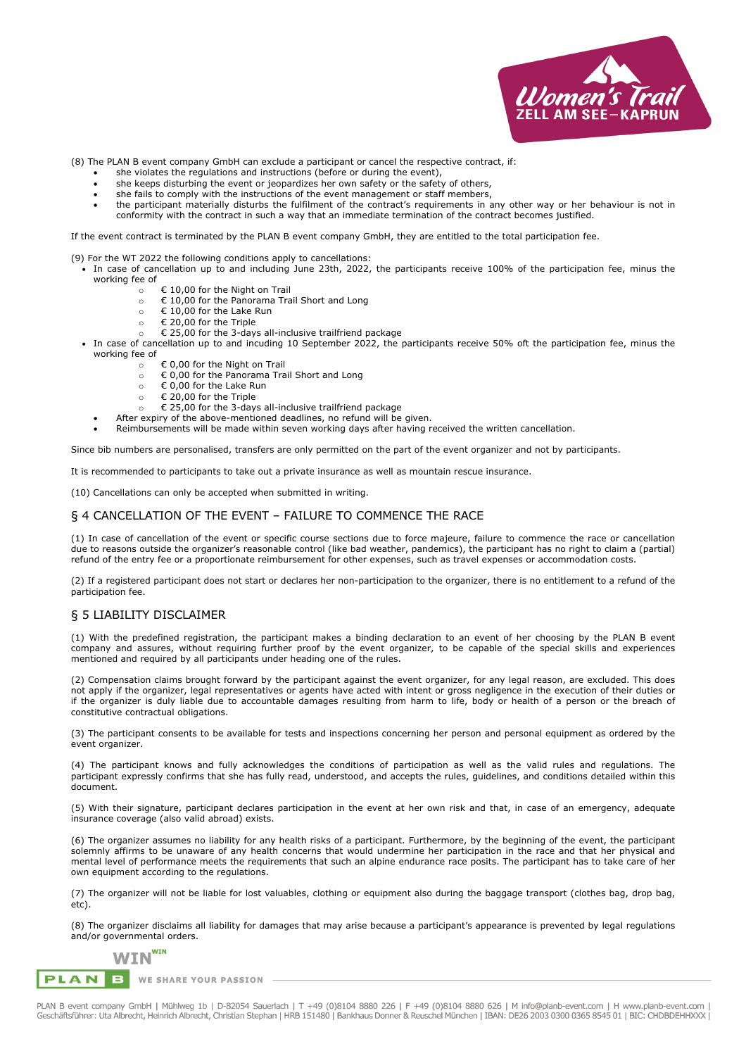

(8) The PLAN B event company GmbH can exclude a participant or cancel the respective contract, if:

- she violates the regulations and instructions (before or during the event),
- she keeps disturbing the event or jeopardizes her own safety or the safety of others,
- she fails to comply with the instructions of the event management or staff members,
- the participant materially disturbs the fulfilment of the contract's requirements in any other way or her behaviour is not in conformity with the contract in such a way that an immediate termination of the contract becomes justified.

If the event contract is terminated by the PLAN B event company GmbH, they are entitled to the total participation fee.

- (9) For the WT 2022 the following conditions apply to cancellations:
- In case of cancellation up to and including June 23th, 2022, the participants receive 100% of the participation fee, minus the working fee of
	- $\circ$   $\in$  10,00 for the Night on Trail
	- $\circ$   $\in$  10.00 for the Panorama Trail Short and Long
	- $\circ$   $\in$  10,00 for the Lake Run
	- o € 20,00 for the Triple
	- o € 25,00 for the 3-days all-inclusive trailfriend package
- In case of cancellation up to and incuding 10 September 2022, the participants receive 50% oft the participation fee, minus the working fee of
	- o € 0,00 for the Night on Trail
	- o € 0,00 for the Panorama Trail Short and Long
	- o € 0,00 for the Lake Run
	- o € 20,00 for the Triple
	- € 25,00 for the 3-days all-inclusive trailfriend package
	- After expiry of the above-mentioned deadlines, no refund will be given.
	- Reimbursements will be made within seven working days after having received the written cancellation.

Since bib numbers are personalised, transfers are only permitted on the part of the event organizer and not by participants.

It is recommended to participants to take out a private insurance as well as mountain rescue insurance.

(10) Cancellations can only be accepted when submitted in writing.

#### § 4 CANCELLATION OF THE EVENT – FAILURE TO COMMENCE THE RACE

(1) In case of cancellation of the event or specific course sections due to force majeure, failure to commence the race or cancellation due to reasons outside the organizer's reasonable control (like bad weather, pandemics), the participant has no right to claim a (partial) refund of the entry fee or a proportionate reimbursement for other expenses, such as travel expenses or accommodation costs.

(2) If a registered participant does not start or declares her non-participation to the organizer, there is no entitlement to a refund of the participation fee.

#### § 5 LIABILITY DISCLAIMER

(1) With the predefined registration, the participant makes a binding declaration to an event of her choosing by the PLAN B event company and assures, without requiring further proof by the event organizer, to be capable of the special skills and experiences mentioned and required by all participants under heading one of the rules.

(2) Compensation claims brought forward by the participant against the event organizer, for any legal reason, are excluded. This does not apply if the organizer, legal representatives or agents have acted with intent or gross negligence in the execution of their duties or if the organizer is duly liable due to accountable damages resulting from harm to life, body or health of a person or the breach of constitutive contractual obligations.

(3) The participant consents to be available for tests and inspections concerning her person and personal equipment as ordered by the event organizer.

(4) The participant knows and fully acknowledges the conditions of participation as well as the valid rules and regulations. The participant expressly confirms that she has fully read, understood, and accepts the rules, guidelines, and conditions detailed within this document.

(5) With their signature, participant declares participation in the event at her own risk and that, in case of an emergency, adequate insurance coverage (also valid abroad) exists.

(6) The organizer assumes no liability for any health risks of a participant. Furthermore, by the beginning of the event, the participant solemnly affirms to be unaware of any health concerns that would undermine her participation in the race and that her physical and mental level of performance meets the requirements that such an alpine endurance race posits. The participant has to take care of her own equipment according to the regulations.

(7) The organizer will not be liable for lost valuables, clothing or equipment also during the baggage transport (clothes bag, drop bag, etc).

(8) The organizer disclaims all liability for damages that may arise because a participant's appearance is prevented by legal regulations and/or governmental orders.

# **WIN**<sup>WIN</sup>

**PLAN**  $\mathbf{B}$ WE SHARE YOUR PASSION